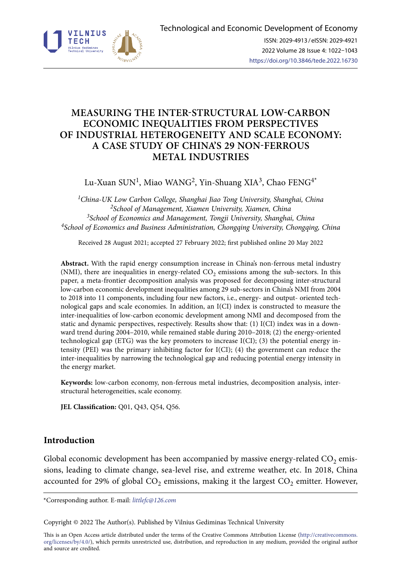

# **MEASURING THE INTER-STRUCTURAL LOW-CARBON ECONOMIC INEQUALITIES FROM PERSPECTIVES OF INDUSTRIAL HETEROGENEITY AND SCALE ECONOMY: A CASE STUDY OF CHINA'S 29 NON-FERROUS METAL INDUSTRIES**

Lu-Xuan SUN<sup>1</sup>, Miao WANG<sup>2</sup>, Yin-Shuang XIA<sup>3</sup>, Chao FENG<sup>4\*</sup>

*1China-UK Low Carbon College, Shanghai Jiao Tong University, Shanghai, China 2School of Management, Xiamen University, Xiamen, China 3School of Economics and Management, Tongji University, Shanghai, China 4School of Economics and Business Administration, Chongqing University, Chongqing, China*

Received 28 August 2021; accepted 27 February 2022; first published online 20 May 2022

**Abstract.** With the rapid energy consumption increase in China's non-ferrous metal industry (NMI), there are inequalities in energy-related  $CO<sub>2</sub>$  emissions among the sub-sectors. In this paper, a meta-frontier decomposition analysis was proposed for decomposing inter-structural low-carbon economic development inequalities among 29 sub-sectors in China's NMI from 2004 to 2018 into 11 components, including four new factors, i.e., energy- and output- oriented technological gaps and scale economies. In addition, an I(CI) index is constructed to measure the inter-inequalities of low-carbon economic development among NMI and decomposed from the static and dynamic perspectives, respectively. Results show that: (1) I(CI) index was in a downward trend during 2004–2010, while remained stable during 2010–2018; (2) the energy-oriented technological gap (ETG) was the key promoters to increase I(CI); (3) the potential energy intensity (PEI) was the primary inhibiting factor for I(CI); (4) the government can reduce the inter-inequalities by narrowing the technological gap and reducing potential energy intensity in the energy market.

**Keywords:** low-carbon economy, non-ferrous metal industries, decomposition analysis, interstructural heterogeneities, scale economy.

**JEL Classification:** Q01, Q43, Q54, Q56.

# **Introduction**

Global economic development has been accompanied by massive energy-related  $CO<sub>2</sub>$  emissions, leading to climate change, sea-level rise, and extreme weather, etc. In 2018, China accounted for 29% of global  $CO<sub>2</sub>$  emissions, making it the largest  $CO<sub>2</sub>$  emitter. However,

\*Corresponding author. E-mail: *littlefc@126.com*

Copyright © 2022 The Author(s). Published by Vilnius Gediminas Technical University

This is an Open Access article distributed under the terms of the Creative Commons Attribution License ([http://creativecommons.](http://creativecommons.org/licenses/by/4.0/) [org/licenses/by/4.0/\)](http://creativecommons.org/licenses/by/4.0/), which permits unrestricted use, distribution, and reproduction in any medium, provided the original author and source are credited.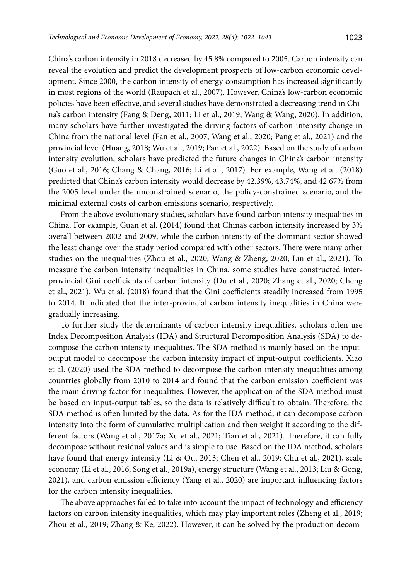China's carbon intensity in 2018 decreased by 45.8% compared to 2005. Carbon intensity can reveal the evolution and predict the development prospects of low-carbon economic development. Since 2000, the carbon intensity of energy consumption has increased significantly in most regions of the world (Raupach et al., 2007). However, China's low-carbon economic policies have been effective, and several studies have demonstrated a decreasing trend in China's carbon intensity (Fang & Deng, 2011; Li et al., 2019; Wang & Wang, 2020). In addition, many scholars have further investigated the driving factors of carbon intensity change in China from the national level (Fan et al., 2007; Wang et al., 2020; Pang et al., 2021) and the provincial level (Huang, 2018; Wu et al., 2019; Pan et al., 2022). Based on the study of carbon intensity evolution, scholars have predicted the future changes in China's carbon intensity (Guo et al., 2016; Chang & Chang, 2016; Li et al., 2017). For example, Wang et al. (2018) predicted that China's carbon intensity would decrease by 42.39%, 43.74%, and 42.67% from the 2005 level under the unconstrained scenario, the policy-constrained scenario, and the minimal external costs of carbon emissions scenario, respectively.

From the above evolutionary studies, scholars have found carbon intensity inequalities in China. For example, Guan et al. (2014) found that China's carbon intensity increased by 3% overall between 2002 and 2009, while the carbon intensity of the dominant sector showed the least change over the study period compared with other sectors. There were many other studies on the inequalities (Zhou et al., 2020; Wang & Zheng, 2020; Lin et al., 2021). To measure the carbon intensity inequalities in China, some studies have constructed interprovincial Gini coefficients of carbon intensity (Du et al., 2020; Zhang et al., 2020; Cheng et al., 2021). Wu et al. (2018) found that the Gini coefficients steadily increased from 1995 to 2014. It indicated that the inter-provincial carbon intensity inequalities in China were gradually increasing.

To further study the determinants of carbon intensity inequalities, scholars often use Index Decomposition Analysis (IDA) and Structural Decomposition Analysis (SDA) to decompose the carbon intensity inequalities. The SDA method is mainly based on the inputoutput model to decompose the carbon intensity impact of input-output coefficients. Xiao et al. (2020) used the SDA method to decompose the carbon intensity inequalities among countries globally from 2010 to 2014 and found that the carbon emission coefficient was the main driving factor for inequalities. However, the application of the SDA method must be based on input-output tables, so the data is relatively difficult to obtain. Therefore, the SDA method is often limited by the data. As for the IDA method, it can decompose carbon intensity into the form of cumulative multiplication and then weight it according to the different factors (Wang et al., 2017a; Xu et al., 2021; Tian et al., 2021). Therefore, it can fully decompose without residual values and is simple to use. Based on the IDA method, scholars have found that energy intensity (Li & Ou, 2013; Chen et al., 2019; Chu et al., 2021), scale economy (Li et al., 2016; Song et al., 2019a), energy structure (Wang et al., 2013; Liu & Gong, 2021), and carbon emission efficiency (Yang et al., 2020) are important influencing factors for the carbon intensity inequalities.

The above approaches failed to take into account the impact of technology and efficiency factors on carbon intensity inequalities, which may play important roles (Zheng et al., 2019; Zhou et al., 2019; Zhang & Ke, 2022). However, it can be solved by the production decom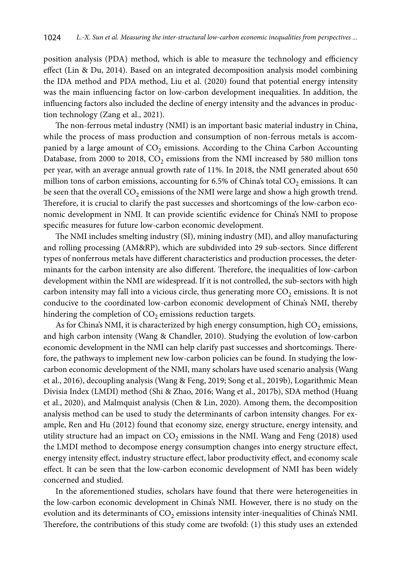position analysis (PDA) method, which is able to measure the technology and efficiency effect (Lin & Du, 2014). Based on an integrated decomposition analysis model combining the IDA method and PDA method, Liu et al. (2020) found that potential energy intensity was the main influencing factor on low-carbon development inequalities. In addition, the influencing factors also included the decline of energy intensity and the advances in production technology (Zang et al., 2021).

The non-ferrous metal industry (NMI) is an important basic material industry in China, while the process of mass production and consumption of non-ferrous metals is accompanied by a large amount of  $CO<sub>2</sub>$  emissions. According to the China Carbon Accounting Database, from 2000 to 2018,  $CO<sub>2</sub>$  emissions from the NMI increased by 580 million tons per year, with an average annual growth rate of 11%. In 2018, the NMI generated about 650 million tons of carbon emissions, accounting for 6.5% of China's total  $CO_2$  emissions. It can be seen that the overall  $CO<sub>2</sub>$  emissions of the NMI were large and show a high growth trend. Therefore, it is crucial to clarify the past successes and shortcomings of the low-carbon economic development in NMI. It can provide scientific evidence for China's NMI to propose specific measures for future low-carbon economic development.

The NMI includes smelting industry (SI), mining industry (MI), and alloy manufacturing and rolling processing (AM&RP), which are subdivided into 29 sub-sectors. Since different types of nonferrous metals have different characteristics and production processes, the determinants for the carbon intensity are also different. Therefore, the inequalities of low-carbon development within the NMI are widespread. If it is not controlled, the sub-sectors with high carbon intensity may fall into a vicious circle, thus generating more  $CO<sub>2</sub>$  emissions. It is not conducive to the coordinated low-carbon economic development of China's NMI, thereby hindering the completion of  $CO<sub>2</sub>$  emissions reduction targets.

As for China's NMI, it is characterized by high energy consumption, high  $CO<sub>2</sub>$  emissions, and high carbon intensity (Wang & Chandler, 2010). Studying the evolution of low-carbon economic development in the NMI can help clarify past successes and shortcomings. Therefore, the pathways to implement new low-carbon policies can be found. In studying the lowcarbon economic development of the NMI, many scholars have used scenario analysis (Wang et al., 2016), decoupling analysis (Wang & Feng, 2019; Song et al., 2019b), Logarithmic Mean Divisia Index (LMDI) method (Shi & Zhao, 2016; Wang et al., 2017b), SDA method (Huang et al., 2020), and Malmquist analysis (Chen & Lin, 2020). Among them, the decomposition analysis method can be used to study the determinants of carbon intensity changes. For example, Ren and Hu (2012) found that economy size, energy structure, energy intensity, and utility structure had an impact on  $CO<sub>2</sub>$  emissions in the NMI. Wang and Feng (2018) used the LMDI method to decompose energy consumption changes into energy structure effect, energy intensity effect, industry structure effect, labor productivity effect, and economy scale effect. It can be seen that the low-carbon economic development of NMI has been widely concerned and studied.

In the aforementioned studies, scholars have found that there were heterogeneities in the low-carbon economic development in China's NMI. However, there is no study on the evolution and its determinants of  $CO<sub>2</sub>$  emissions intensity inter-inequalities of China's NMI. Therefore, the contributions of this study come are twofold: (1) this study uses an extended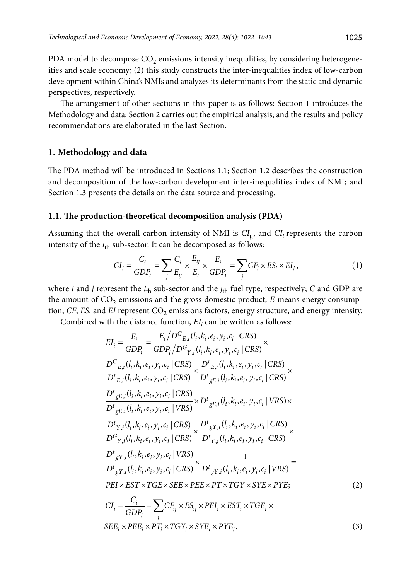PDA model to decompose  $CO<sub>2</sub>$  emissions intensity inequalities, by considering heterogeneities and scale economy; (2) this study constructs the inter-inequalities index of low-carbon development within China's NMIs and analyzes its determinants from the static and dynamic perspectives, respectively.

The arrangement of other sections in this paper is as follows: Section 1 introduces the Methodology and data; Section 2 carries out the empirical analysis; and the results and policy recommendations are elaborated in the last Section.

### **1. Methodology and data**

The PDA method will be introduced in Sections 1.1; Section 1.2 describes the construction and decomposition of the low-carbon development inter-inequalities index of NMI; and Section 1.3 presents the details on the data source and processing.

#### **1.1. The production-theoretical decomposition analysis (PDA)**

Assuming that the overall carbon intensity of NMI is  $Cl_{\mu}$ , and  $Cl_{i}$  represents the carbon intensity of the  $i_{\text{th}}$  sub-sector. It can be decomposed as follows:

$$
CI_i = \frac{C_i}{GDP_i} = \sum_j \frac{C_i}{E_{ij}} \times \frac{E_{ij}}{E_i} \times \frac{E_i}{GDP_i} = \sum_j CF_i \times ES_i \times EI_i,
$$
\n(1)

where *i* and *j* represent the  $i_{\text{th}}$  sub-sector and the  $j_{\text{th}}$  fuel type, respectively; *C* and GDP are the amount of  $CO<sub>2</sub>$  emissions and the gross domestic product;  $E$  means energy consumption; CF, ES, and EI represent CO<sub>2</sub> emissions factors, energy structure, and energy intensity.

Combined with the distance function, *EI<sub>i</sub>* can be written as follows:

$$
EI_{i} = \frac{E_{i}}{GDP_{i}} = \frac{E_{i}/D^{G}E_{i}(l_{i},k_{i},e_{i},y_{i},c_{i}|CRS)}{GDP_{i}/D^{G}Y_{i}(l_{i},k_{i},e_{i},y_{i},c_{i}|CRS)} \times
$$
\n
$$
\frac{D^{G}E_{i}(l_{i},k_{i},e_{i},y_{i},c_{i}|CRS)}{D^{t}E_{i}(l_{i},k_{i},e_{i},y_{i},c_{i}|CRS)} \times \frac{D^{t}E_{i}(l_{i},k_{i},e_{i},y_{i},c_{i}|CRS)}{D^{t}E_{i}(l_{i},k_{i},e_{i},y_{i},c_{i}|CRS)} \times
$$
\n
$$
\frac{D^{t}E_{gE,i}(l_{i},k_{i},e_{i},y_{i},c_{i}|CRS)}{D^{t}E_{gE,i}(l_{i},k_{i},e_{i},y_{i},c_{i}|CRS)} \times D^{t}E_{gE,i}(l_{i},k_{i},e_{i},y_{i},c_{i}|CRS) \times
$$
\n
$$
\frac{D^{t}Y_{i}(l_{i},k_{i},e_{i},y_{i},c_{i}|CRS)}{D^{G}Y_{i}(l_{i},k_{i},e_{i},y_{i},c_{i}|CRS)} \times \frac{D^{t}E_{gY,i}(l_{i},k_{i},e_{i},y_{i},c_{i}|CRS)}{D^{t}Y_{i}(l_{i},k_{i},e_{i},y_{i},c_{i}|CRS)} \times
$$
\n
$$
\frac{D^{t}E_{gY,i}(l_{i},k_{i},e_{i},y_{i},c_{i}|CRS)}{D^{t}E_{gY,i}(l_{i},k_{i},e_{i},y_{i},c_{i}|CRS)} \times \frac{1}{D^{t}E_{gY,i}(l_{i},k_{i},e_{i},y_{i},c_{i}|CRS)} =
$$
\n
$$
PEI \times EST \times TGE \times SEE \times PEE \times PT \times TGY \times SYE \times PYE;
$$
\n(2)

$$
CI_i = \frac{C_i}{GDP_i} = \sum_j CF_{ij} \times ES_{ij} \times PEI_i \times EST_i \times TGE_i \times \text{SEE}_i \times PEE_i \times PE_i \times PT_i \times TGF_i \times PYE_i. \tag{3}
$$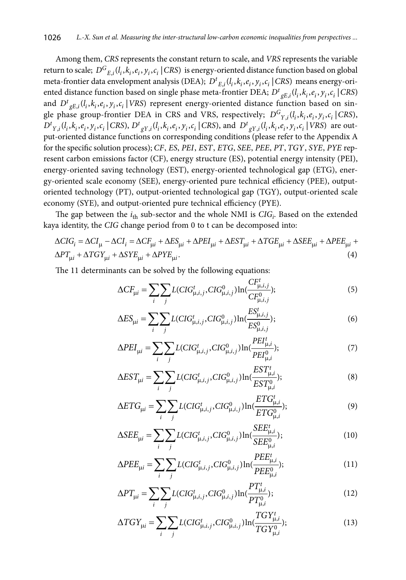Among them, *CRS* represents the constant return to scale, and *VRS* represents the variable return to scale;  $D^{G}_{F}$  *i*( $l_i$ , $k_i$ , $e_i$ , $y_i$ , $c_i$  | CRS) is energy-oriented distance function based on global meta-frontier data envelopment analysis (DEA);  $D^t_{F,i}(l_i, k_i, e_i, y_i, c_i | \text{CRS})$  means energy-oriented distance function based on single phase meta-frontier DEA;  $D^t{}_{\sigma E,i}(l_i, k_i, e_i, y_i, c_i | \text{CRS})$ and  $D^t{}_{gE,i}(l_i, k_i, e_i, y_i, c_i | VRS)$  represent energy-oriented distance function based on single phase group-frontier DEA in CRS and VRS, respectively;  $D^{G}$ <sub>*Y<sub>i</sub>i*</sub>( $l_i$ , $k_i$ , $e_i$ , $y_i$ , $c_i$  | CRS),  $D^{t}{}_{Y,i}(l_i, k_i, e_i, y_i, c_i | \text{CRS}), D^{t}{}_{gY,i}(l_i, k_i, e_i, y_i, c_i | \text{CRS}),$  and  $D^{t}{}_{gY,i}(l_i, k_i, e_i, y_i, c_i | \text{VRS})$  are output-oriented distance functions on corresponding conditions (please refer to the Appendix A for the specific solution process); *CF*, *ES*, *PEI*, *EST*, *ETG*, *SEE*, *PEE*, *PT*, *TGY*, *SYE*, *PYE* represent carbon emissions factor (CF), energy structure (ES), potential energy intensity (PEI), energy-oriented saving technology (EST), energy-oriented technological gap (ETG), energy-oriented scale economy (SEE), energy-oriented pure technical efficiency (PEE), outputoriented technology (PT), output-oriented technological gap (TGY), output-oriented scale economy (SYE), and output-oriented pure technical efficiency (PYE).

The gap between the  $i_{\text{th}}$  sub-sector and the whole NMI is  $CIG_i$ . Based on the extended kaya identity, the *CIG* change period from 0 to t can be decomposed into:

$$
\Delta CIG_i = \Delta CI_{\mu} - \Delta CI_i = \Delta CF_{\mu i} + \Delta ES_{\mu i} + \Delta PET_{\mu i} + \Delta EST_{\mu i} + \Delta TGE_{\mu i} + \Delta SEE_{\mu i} + \Delta PEE_{\mu i} + \Delta PTE_{\mu i} + \Delta GY_{\mu i} + \Delta SYE_{\mu i}.
$$
\n(4)

The 11 determinants can be solved by the following equations:

$$
\Delta CF_{\mu i} = \sum_{i} \sum_{j} L(CIG_{\mu,i,j}^{t}, CIG_{\mu,i,j}^{0}) \ln(\frac{CF_{\mu,i,j}^{t}}{CF_{\mu,i,j}^{0}});
$$
\n(5)

$$
\Delta ES_{\mu i} = \sum_{i} \sum_{j} L(CIG_{\mu,i,j}^{t}, CIG_{\mu,i,j}^{0}) \ln(\frac{ES_{\mu,i,j}^{t}}{ES_{\mu,i,j}^{0}});
$$
\n(6)

$$
\Delta P E I_{\mu i} = \sum_{i} \sum_{j} L(CIG_{\mu,i,j}^{t}, CIG_{\mu,i,j}^{0}) \ln(\frac{PEI_{\mu,i}^{t}}{PEI_{\mu,i}^{0}});
$$
\n(7)

$$
\Delta EST_{\mu i} = \sum_{i} \sum_{j} L(CIG_{\mu,i,j}^{t}, CIG_{\mu,i,j}^{0}) \ln(\frac{EST_{\mu,i}^{t}}{EST_{\mu,i}^{0}});
$$
\n(8)

$$
\Delta ETG_{\mu i} = \sum_{i} \sum_{j} L(CIG_{\mu,i,j}^{t}, CIG_{\mu,i,j}^{0}) \ln(\frac{ETG_{\mu,i}^{t}}{ETG_{\mu,i}^{0}});
$$
\n(9)

$$
\Delta SEE_{\mu i} = \sum_{i} \sum_{j} L(CIG_{\mu,i,j}^{t}, CIG_{\mu,i,j}^{0}) \ln(\frac{SEE_{\mu,i}^{t}}{SEE_{\mu,i}^{0}});
$$
\n(10)

$$
\Delta PEE_{\mu i} = \sum_{i} \sum_{j} L(CIG_{\mu,i,j}^{t}, CIG_{\mu,i,j}^{0}) \ln(\frac{PEE_{\mu,i}^{t}}{PEE_{\mu,i}^{0}});
$$
\n(11)

$$
\Delta PT_{\mu i} = \sum_{i} \sum_{j} L(CIG_{\mu,i,j}^{t}, CIG_{\mu,i,j}^{0}) \ln(\frac{PT_{\mu,i}^{t}}{PT_{\mu,i}^{0}});
$$
\n(12)

$$
\Delta T G Y_{\mu i} = \sum_{i} \sum_{j} L(CIG_{\mu,i,j}^{t}, CIG_{\mu,i,j}^{0}) \ln(\frac{T G Y_{\mu,i}^{t}}{T G Y_{\mu,i}^{0}});
$$
\n(13)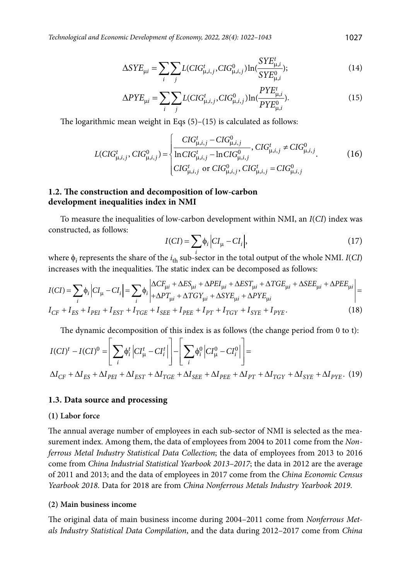*Technological and Economic Development of Economy, 2022, 28(4): 1022–1043* 1027

$$
\Delta SYE_{\mu i} = \sum_{i} \sum_{j} L(CIG_{\mu,i,j}^{t}, CIG_{\mu,i,j}^{0}) \ln(\frac{SYE_{\mu,i}^{t}}{SYE_{\mu,i}^{0}});
$$
\n(14)

$$
\Delta PYE_{\mu i} = \sum_{i} \sum_{j} L(CIG_{\mu,i,j}^{t}, CIG_{\mu,i,j}^{0}) \ln(\frac{PYE_{\mu,i}^{t}}{PYE_{\mu,i}^{0}}). \tag{15}
$$

The logarithmic mean weight in Eqs  $(5)-(15)$  is calculated as follows:

$$
L(CIG_{\mu,i,j}^t, CIG_{\mu,i,j}^0) = \begin{cases} CIG_{\mu,i,j}^t - CIG_{\mu,i,j}^0, CIG_{\mu,i,j}^t \neq CIG_{\mu,i,j}^0, \\ \frac{\ln CIG_{\mu,i,j}^t - \ln CIG_{\mu,i,j}^0}{CIG_{\mu,i,j}^t \text{ or } CIG_{\mu,i,j}^t, CIG_{\mu,i,j}^t = CIG_{\mu,i,j}^0, \end{cases}
$$
(16)

### **1.2. The construction and decomposition of low-carbon development inequalities index in NMI**

To measure the inequalities of low-carbon development within NMI, an *I*(*CI*) index was constructed, as follows:

$$
I(Cl) = \sum_{i} \phi_i \left| CI_{\mu} - CI_i \right|,\tag{17}
$$

where  $\phi_i$  represents the share of the  $i_{th}$  sub-sector in the total output of the whole NMI. *I*(*CI*) increases with the inequalities. The static index can be decomposed as follows:

$$
I(CI) = \sum_{i} \phi_{i} \left| CI_{\mu} - CI_{i} \right| = \sum_{i} \phi_{i} \left| \frac{\Delta CF_{\mu i} + \Delta ES_{\mu i} + \Delta P EI_{\mu i} + \Delta EST_{\mu i} + \Delta TGE_{\mu i} + \Delta SEE_{\mu i} + \Delta PEE_{\mu i}}{+ \Delta PT_{\mu i} + \Delta TGT_{\mu i} + \Delta SYE_{\mu i} + \Delta PYE_{\mu i}} \right| = I_{CF} + I_{ES} + I_{PEI} + I_{EST} + I_{TGE} + I_{SEE} + I_{PEE} + I_{PT} + I_{TGY} + I_{SYE} + I_{PYE}.
$$
\n(18)

The dynamic decomposition of this index is as follows (the change period from 0 to t):

$$
I(Cl)^{t} - I(Cl)^{0} = \left[ \sum_{i} \phi_{i}^{t} \left| CI_{\mu}^{t} - CI_{i}^{t} \right| \right] - \left[ \sum_{i} \phi_{i}^{0} \left| CI_{\mu}^{0} - CI_{i}^{0} \right| \right] =
$$
  

$$
\Delta I_{CF} + \Delta I_{ES} + \Delta I_{PEI} + \Delta I_{EST} + \Delta I_{TGE} + \Delta I_{SEE} + \Delta I_{PEE} + \Delta I_{PT} + \Delta I_{TGY} + \Delta I_{SYE} + \Delta I_{PYE}.
$$
 (19)

### **1.3. Data source and processing**

#### **(1) Labor force**

The annual average number of employees in each sub-sector of NMI is selected as the measurement index. Among them, the data of employees from 2004 to 2011 come from the *Nonferrous Metal Industry Statistical Data Collection*; the data of employees from 2013 to 2016 come from *China Industrial Statistical Yearbook 2013–2017*; the data in 2012 are the average of 2011 and 2013; and the data of employees in 2017 come from the *China Economic Census Yearbook 2018*. Data for 2018 are from *China Nonferrous Metals Industry Yearbook 2019*.

#### **(2) Main business income**

The original data of main business income during 2004–2011 come from *Nonferrous Metals Industry Statistical Data Compilation*, and the data during 2012–2017 come from *China*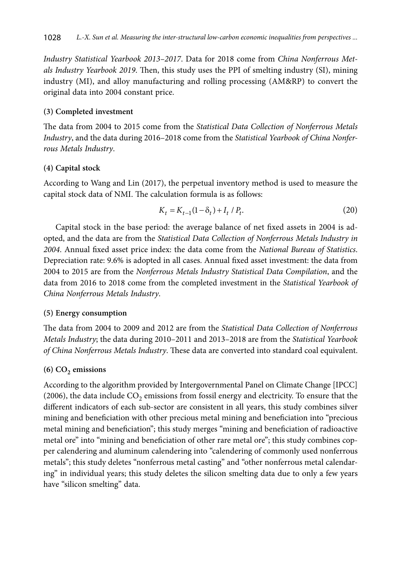*Industry Statistical Yearbook 2013–2017*. Data for 2018 come from *China Nonferrous Metals Industry Yearbook 2019*. Then, this study uses the PPI of smelting industry (SI), mining industry (MI), and alloy manufacturing and rolling processing (AM&RP) to convert the original data into 2004 constant price.

### **(3) Completed investment**

The data from 2004 to 2015 come from the *Statistical Data Collection of Nonferrous Metals Industry*, and the data during 2016–2018 come from the *Statistical Yearbook of China Nonferrous Metals Industry*.

### **(4) Capital stock**

According to Wang and Lin (2017), the perpetual inventory method is used to measure the capital stock data of NMI. The calculation formula is as follows:

$$
K_t = K_{t-1}(1 - \delta_t) + I_t / P_t.
$$
\n(20)

Capital stock in the base period: the average balance of net fixed assets in 2004 is adopted, and the data are from the *Statistical Data Collection of Nonferrous Metals Industry in 2004*. Annual fixed asset price index: the data come from the *National Bureau of Statistics*. Depreciation rate: 9.6% is adopted in all cases. Annual fixed asset investment: the data from 2004 to 2015 are from the *Nonferrous Metals Industry Statistical Data Compilation*, and the data from 2016 to 2018 come from the completed investment in the *Statistical Yearbook of China Nonferrous Metals Industry*.

### **(5) Energy consumption**

The data from 2004 to 2009 and 2012 are from the *Statistical Data Collection of Nonferrous Metals Industry*; the data during 2010–2011 and 2013–2018 are from the *Statistical Yearbook of China Nonferrous Metals Industry*. These data are converted into standard coal equivalent.

### $(6)$  CO<sub>2</sub> emissions

According to the algorithm provided by Intergovernmental Panel on Climate Change [IPCC] (2006), the data include  $CO<sub>2</sub>$  emissions from fossil energy and electricity. To ensure that the different indicators of each sub-sector are consistent in all years, this study combines silver mining and beneficiation with other precious metal mining and beneficiation into "precious metal mining and beneficiation"; this study merges "mining and beneficiation of radioactive metal ore" into "mining and beneficiation of other rare metal ore"; this study combines copper calendering and aluminum calendering into "calendering of commonly used nonferrous metals"; this study deletes "nonferrous metal casting" and "other nonferrous metal calendaring" in individual years; this study deletes the silicon smelting data due to only a few years have "silicon smelting" data.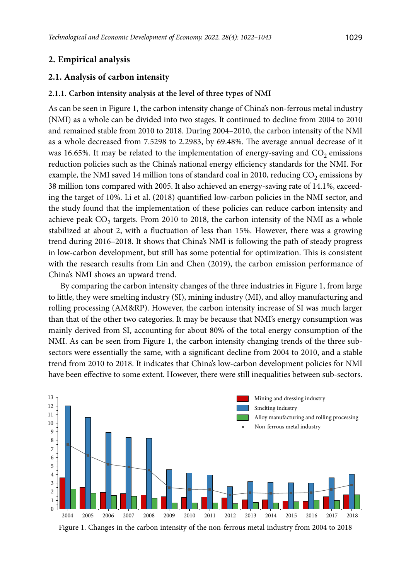## **2. Empirical analysis**

### **2.1. Analysis of carbon intensity**

### **2.1.1. Carbon intensity analysis at the level of three types of NMI**

As can be seen in Figure 1, the carbon intensity change of China's non-ferrous metal industry (NMI) as a whole can be divided into two stages. It continued to decline from 2004 to 2010 and remained stable from 2010 to 2018. During 2004–2010, the carbon intensity of the NMI as a whole decreased from 7.5298 to 2.2983, by 69.48%. The average annual decrease of it was 16.65%. It may be related to the implementation of energy-saving and  $CO<sub>2</sub>$  emissions reduction policies such as the China's national energy efficiency standards for the NMI. For example, the NMI saved 14 million tons of standard coal in 2010, reducing  $CO<sub>2</sub>$  emissions by 38 million tons compared with 2005. It also achieved an energy-saving rate of 14.1%, exceeding the target of 10%. Li et al. (2018) quantified low-carbon policies in the NMI sector, and the study found that the implementation of these policies can reduce carbon intensity and achieve peak  $CO_2$  targets. From 2010 to 2018, the carbon intensity of the NMI as a whole stabilized at about 2, with a fluctuation of less than 15%. However, there was a growing trend during 2016–2018. It shows that China's NMI is following the path of steady progress in low-carbon development, but still has some potential for optimization. This is consistent with the research results from Lin and Chen (2019), the carbon emission performance of China's NMI shows an upward trend.

By comparing the carbon intensity changes of the three industries in Figure 1, from large to little, they were smelting industry (SI), mining industry (MI), and alloy manufacturing and rolling processing (AM&RP). However, the carbon intensity increase of SI was much larger than that of the other two categories. It may be because that NMI's energy consumption was mainly derived from SI, accounting for about 80% of the total energy consumption of the NMI. As can be seen from Figure 1, the carbon intensity changing trends of the three subsectors were essentially the same, with a significant decline from 2004 to 2010, and a stable trend from 2010 to 2018. It indicates that China's low-carbon development policies for NMI have been effective to some extent. However, there were still inequalities between sub-sectors.



Figure 1. Changes in the carbon intensity of the non-ferrous metal industry from 2004 to 2018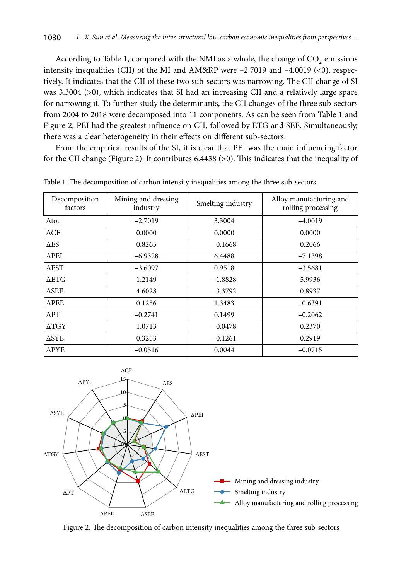According to Table 1, compared with the NMI as a whole, the change of  $CO<sub>2</sub>$  emissions intensity inequalities (CII) of the MI and AM&RP were  $-2.7019$  and  $-4.0019$  (<0), respectively. It indicates that the CII of these two sub-sectors was narrowing. The CII change of SI was 3.3004 (>0), which indicates that SI had an increasing CII and a relatively large space for narrowing it. To further study the determinants, the CII changes of the three sub-sectors from 2004 to 2018 were decomposed into 11 components. As can be seen from Table 1 and Figure 2, PEI had the greatest influence on CII, followed by ETG and SEE. [Simultaneously](file:///D:/DARBAI/TTED/%2bTEDE_AIP_2022_1/javascript:;), there was a clear heterogeneity in their effects on different sub-sectors.

From the empirical results of the SI, it is clear that PEI was the main influencing factor for the CII change (Figure 2). It contributes 6.4438 (>0). This indicates that the inequality of

| Decomposition<br>factors | Mining and dressing<br>industry | Smelting industry | Alloy manufacturing and<br>rolling processing |  |  |  |  |  |  |
|--------------------------|---------------------------------|-------------------|-----------------------------------------------|--|--|--|--|--|--|
| $\Delta$ tot             | $-2.7019$                       | 3.3004            | $-4.0019$                                     |  |  |  |  |  |  |
| $\triangle CF$           | 0.0000                          | 0.0000            | 0.0000                                        |  |  |  |  |  |  |
| $\Delta ES$              | 0.8265                          | $-0.1668$         | 0.2066                                        |  |  |  |  |  |  |
| $\triangle$ PEI          | $-6.9328$                       | 6.4488            | $-7.1398$                                     |  |  |  |  |  |  |
| $\triangle EST$          | $-3.6097$                       | 0.9518            | $-3.5681$                                     |  |  |  |  |  |  |
| <b>AETG</b>              | 1.2149                          | $-1.8828$         | 5.9936                                        |  |  |  |  |  |  |
| $\triangle$ SEE          | 4.6028                          | $-3.3792$         | 0.8937                                        |  |  |  |  |  |  |
| <b>APEE</b>              | 0.1256                          | 1.3483            | $-0.6391$                                     |  |  |  |  |  |  |
| $\Delta PT$              | $-0.2741$                       | 0.1499            | $-0.2062$                                     |  |  |  |  |  |  |
| $\triangle TGY$          | 1.0713                          | $-0.0478$         | 0.2370                                        |  |  |  |  |  |  |
| $\triangle$ SYE          | 0.3253                          | $-0.1261$         | 0.2919                                        |  |  |  |  |  |  |
| $\Delta$ PYE             | $-0.0516$                       | 0.0044            | $-0.0715$                                     |  |  |  |  |  |  |

Table 1. The decomposition of carbon intensity inequalities among the three sub-sectors



Figure 2. The decomposition of carbon intensity inequalities among the three sub-sectors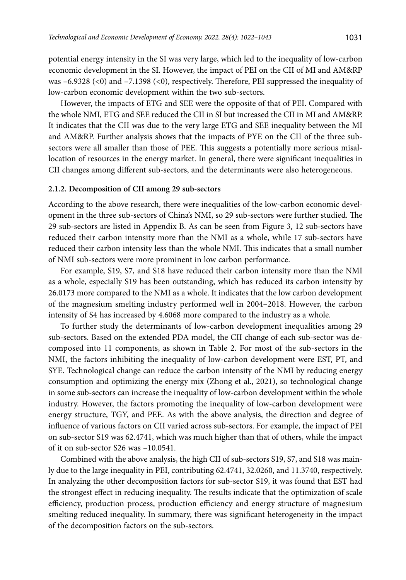potential energy intensity in the SI was very large, which led to the inequality of low-carbon economic development in the SI. However, the impact of PEI on the CII of MI and AM&RP was –6.9328 (<0) and –7.1398 (<0), respectively. Therefore, PEI suppressed the inequality of low-carbon economic development within the two sub-sectors.

However, the impacts of ETG and SEE were the opposite of that of PEI. Compared with the whole NMI, ETG and SEE reduced the CII in SI but increased the CII in MI and AM&RP. It indicates that the CII was due to the very large ETG and SEE inequality between the MI and AM&RP. Further analysis shows that the impacts of PYE on the CII of the three subsectors were all smaller than those of PEE. This suggests a potentially more serious misallocation of resources in the energy market. In general, there were significant inequalities in CII changes among different sub-sectors, and the determinants were also heterogeneous.

#### **2.1.2. Decomposition of CII among 29 sub-sectors**

According to the above research, there were inequalities of the low-carbon economic development in the three sub-sectors of China's NMI, so 29 sub-sectors were further studied. The 29 sub-sectors are listed in Appendix B. As can be seen from Figure 3, 12 sub-sectors have reduced their carbon intensity more than the NMI as a whole, while 17 sub-sectors have reduced their carbon intensity less than the whole NMI. This indicates that a small number of NMI sub-sectors were more prominent in low carbon performance.

For example, S19, S7, and S18 have reduced their carbon intensity more than the NMI as a whole, especially S19 has been outstanding, which has reduced its carbon intensity by 26.0173 more compared to the NMI as a whole. It indicates that the low carbon development of the magnesium smelting industry performed well in 2004–2018. However, the carbon intensity of S4 has increased by 4.6068 more compared to the industry as a whole.

To further study the determinants of low-carbon development inequalities among 29 sub-sectors. Based on the extended PDA model, the CII change of each sub-sector was decomposed into 11 components, as shown in Table 2. For most of the sub-sectors in the NMI, the factors inhibiting the inequality of low-carbon development were EST, PT, and SYE. Technological change can reduce the carbon intensity of the NMI by reducing energy consumption and optimizing the energy mix (Zhong et al., 2021), so technological change in some sub-sectors can increase the inequality of low-carbon development within the whole industry. However, the factors promoting the inequality of low-carbon development were energy structure, TGY, and PEE. As with the above analysis, the direction and degree of influence of various factors on CII varied across sub-sectors. For example, the impact of PEI on sub-sector S19 was 62.4741, which was much higher than that of others, while the impact of it on sub-sector S26 was –10.0541.

Combined with the above analysis, the high CII of sub-sectors S19, S7, and S18 was mainly due to the large inequality in PEI, contributing 62.4741, 32.0260, and 11.3740, respectively. In analyzing the other decomposition factors for sub-sector S19, it was found that EST had the strongest effect in reducing inequality. The results indicate that the optimization of scale efficiency, production process, production efficiency and energy structure of magnesium smelting reduced inequality. In summary, there was significant heterogeneity in the impact of the decomposition factors on the sub-sectors.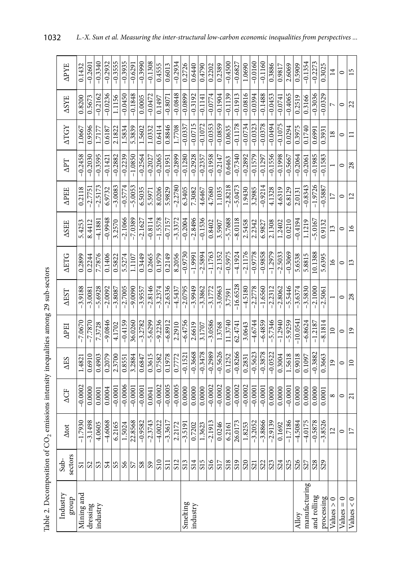|                                                                                                 | <b>APYE</b><br><b>ASYE</b> | 0.1432<br>0.8200 | $-0.260$<br>0.5673 | $-0.3340$<br>$-0.2162$ | $-0.2932$<br>$-0.0236$ | $-0.3555$<br>1.1156   | $-0.3935$<br>$-0.0450$ | $-0.629$<br>$-0.1848$ | $-0.3990$<br>0.0005 | $-0.1308$<br>$-0.0472$ | 0.4555<br>0.1497 | 0.6013<br>$-0.8071$ | $-0.2934$<br>$-0.0848$ | 0.2726<br>$-0.0899$ | 0.6440<br>$-0.3192$ | 0.4790<br>$-0.1141$                | 0.2202<br>$-0.0774$ | 0.2389<br>$-0.1904$ | $-0.4500$<br>$-0.1139$ | $-0.6827$<br>$-0.1913$ | 1.0690<br>$-0.0816$ | $-0.0160$<br>$-0.0394$ | $-0.1160$<br>$-0.1488$ | 0.3886<br>$-0.0453$ | 0.9817<br>$-0.0741$ | 2.6069<br>$-0.4065$ | 0.5909<br>0.2519 | $-0.1354$<br>0.3166 | $-0.2273$<br>$-0.3036$ | 0.3025<br>$-0.0329$      | $\overline{14}$<br>$\overline{ }$ | $\circ$<br>$\circ$ | 15<br>22        |
|-------------------------------------------------------------------------------------------------|----------------------------|------------------|--------------------|------------------------|------------------------|-----------------------|------------------------|-----------------------|---------------------|------------------------|------------------|---------------------|------------------------|---------------------|---------------------|------------------------------------|---------------------|---------------------|------------------------|------------------------|---------------------|------------------------|------------------------|---------------------|---------------------|---------------------|------------------|---------------------|------------------------|--------------------------|-----------------------------------|--------------------|-----------------|
|                                                                                                 | <b>ATGY</b>                | 1.0667           | 0.9596             | 1.7177                 | 0.6187                 | 2.1822                | 1.5834                 | 5.3839                | 1.5602              | 1.0332                 | 0.6414           | 0.8846              | 1.7708                 | $-0.0337$           | $-0.0715$           | $-0.1072$                          | $-0.0353$           | $-0.0859$           | 0.0635                 | $-0.1178$              | $-0.0734$           | $-0.0323$              | $-0.0378$              | $-0.0494$           | $-0.1075$           | 0.0294              | 0.3975           | 0.1740              | 0.6991                 | 0.3931                   | 18                                | $\circ$            | $\Box$          |
|                                                                                                 | $\Delta$ PT                | $-0.2458$        | $-0.2030$          | $-0.3595$              | $-0.142$               | $-0.2882$             | $-0.2239$              | $-1.0850$             | $-0.2564$           | $-0.2027$              | $-0.2065$        | $-0.1951$           | $-0.2899$              | $-0.1280$           | $-0.2928$           | $-0.2357$                          | $-0.1958$           | $-0.2147$           | 0.6463                 | $-0.7340$              | $-0.2892$           | $-0.1579$              | $-0.1297$              | $-0.1556$           | $-0.1998$           | $-0.5667$           | $-0.2064$        | $-0.2061$           | $-0.1985$              | $-0.1583$                |                                   | $\circ$            | 28              |
|                                                                                                 | <b>APEE</b>                | 0.2118           | $-2.7751$          | $-2.517$               | 6.9732                 | $-3.0083$             | $-0.5774$              | $-5.0053$             | 6.5035              | 5.5971                 | 8.0206           | 5.9829              | $-2.2780$              | 6.3405              | 7.3082              | 4.6467                             | 4.7680              | 1.1035              | $-2.8218$              | $-5.0473$              | 1.9430              | 3.2985                 | $-0.9214$              | 4.1328              | 4.6319              | 6.8129              | 2.0131           | $-0.8343$           | $-1.9726$              | $-0.5887$                |                                   | $\circ$            | 12              |
|                                                                                                 | <b>ASEE</b>                | 5.425            | 8.4412             | $-4.188$               | $-0.9948$              | 3.2570                | $-2.1066$              | $-7.0389$             | $-2.1627$           | $-0.8114$              | $-1.5578$        | $-0.7157$           | $-3.3372$              | $-0.2004$           | $-2.8496$           | $-0.1536$                          | 0.8402              | 3.5907              | $-5.7688$              | $-8.0118$              | 2.5458              | 2.2342                 | 6.9827                 | 2.1308              | 1.2402              | 0.0210              | $-0.4194$        | 1.1219              | $-5.0167$              | 0.9132                   | 13                                | $\circ$            | 16              |
|                                                                                                 | <b>AETG</b>                | 0.2899           | 0.2244             | 7.7876                 | 0.1406                 | 0.5822                | 5.5274                 | 1.1107                | 0.3449              | 0.2665                 | 0.1979           | 0.2149              | 8.2056                 | $-0.9730$           | $-1.9991$           | $-2.5894$                          | $-1.1763$           | $-2.1352$           | $-0.5975$              | $-4.1924$              | $-2.1176$           | $-0.9778$              | $-0.9858$              | $-1.2979$           | $-2.5033$           | $-0.3069$           | 5.6538           | 5.8815              | 10.1388                | 5.6395                   | 16                                | $\circ$            | 13              |
|                                                                                                 | <b>AEST</b>                | $-3.9188$        | $-3.0081$          | 5.6928                 | $-2.0092$              | $-3.8087$             | $-2.7005$              | $-9.0090$             | $-3.9557$           | $-2.8146$              | $-3.2374$        | $-2.6336$           | $-4.5437$              | $-2.0795$           | $-3.9949$           | $-3.3862$                          | $-3.1772$           | $-3.0963$           | 3.7591                 | $-16.6528$             | $-4.5180$           | $-2.2778$              | $-1.6560$              | $-2.2312$           | $-2.8062$           | $-5.5446$           | $-3.6374$        | $-3.5830$           | $-2.1000$              | $-2.5061$                |                                   | $\circ$            | 28              |
|                                                                                                 | <b>APEI</b>                | $-7.067$         | $-7.787$           | 7.3728                 | $-9.0846$              | 4.1702                | $-0.4159$              | 36.0260               | $-3.2782$           | $-5.6299$              | $-9.2236$        | $-6.8912$           | 2.2910                 | $-6.4756$           | 2.6619              | 3.1707                             | $-3.0586$           | 1.3768              | 11.3740                | 62.474                 | 3.0643              | $-4.6744$              | $-6.4859$              | $-5.7346$           | $-1.2940$           | $-5.9259$           | $-10.0541$       | $-6.8624$           | $-1.2187$              | $-8.1814$                | $\overline{10}$                   | $\circ$            | $\overline{19}$ |
|                                                                                                 | $\Delta$ ES                | 1.4821           | 0.6910             | 0.4903                 | 0.2079                 | 2.3700                | 0.8551                 | 3.2884                | 0.6847              | 0.3615                 | 0.7582           | 0.1978              | 0.7772                 | $-0.1521$           | $-0.3668$           | $-0.3478$                          | $-0.2989$           | $-0.5626$           | 0.1252                 | $-0.8266$              | 0.2831              | $-0.5623$              | $-0.3878$              | $-0.0522$           | 0.3004              | 1.5618              | 0.9018           | 0.1097              | $-0.3882$              | 0.3663                   | 19                                | $\circ$            | $\overline{10}$ |
|                                                                                                 | ΔCF                        | $-0.0002$        | 0.0000             | 0.0001                 | 0.0004                 | $-0.000$              | $-0.0006$              | $-0.0001$             | $-0.0001$           | 0.0041                 | $-0.0002$        | $-0.0005$           | $-0.0005$              | 0.0000              | 0.0000              | 0.0000                             | $-0.0002$           | $-0.0002$           | 0.0000                 | $-0.0002$              | $-0.0002$           | $-0.0001$              | $-0.0001$              | 0.0000              | 0.0000              | $-0.0001$           | 0.0000           | 0.0000              | 0.0000                 | 0.0001                   | ${}^{\circ}$                      | $\circ$            | $\overline{21}$ |
|                                                                                                 | <b>Atot</b>                | $-1.7930$        | $-3.1498$          | 1.0605                 | $-4.6068$              | 6.2165                | 1.5024                 | 22.8568               | $-0.9582$           | $-2.3743$              | $-4.0022$        | $-3.3617$           | 2.2172                 | $-3.5191$           | 0.7202              | .3623                              | $-2.1913$           | 0.0246              | 6.2161                 | 26.0173                | .8253               | $-3.2052$              | $-3.8866$              | $-2.9139$           | 0.1692              | $-1.7186$           | $-4.5084$        | $-4.0175$           | $-0.5878$              | $-3.8526$                | $\overline{12}$                   | $\circ$            | 17              |
|                                                                                                 | sectors<br>$\sin$          |                  | 3 2 3              |                        | S <sub>4</sub>         | $\overline{\text{S}}$ |                        |                       | $\frac{8}{8}$       |                        | S <sub>10</sub>  | $\overline{51}$     | S <sub>12</sub>        | S13                 | $\overline{sl4}$    | $\overline{\overline{\text{S15}}}$ |                     | $rac{16}{25}$       |                        | S <sub>19</sub>        | $rac{S20}{S21}$     |                        | 333888                 |                     |                     |                     |                  |                     |                        | $\overline{\frac{8}{9}}$ |                                   |                    |                 |
| Table 2. Decomposition of CO <sub>2</sub> emissions intensity inequalities among 29 sub-sectors | Industry<br>group          | Mining and       | dressing           | industry               |                        |                       |                        |                       |                     |                        |                  |                     |                        | Smelting            | industry            |                                    |                     |                     |                        |                        |                     |                        |                        |                     |                     |                     | Alloy            | manufacturing       | and rolling            | processing               | Values > 0                        | $Values = 0$       | Values < 0      |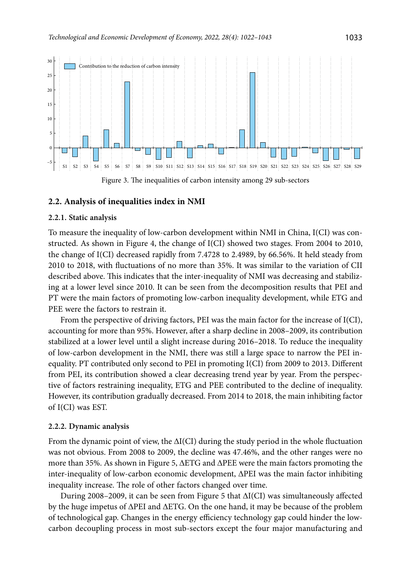

#### **2.2. Analysis of inequalities index in NMI**

#### **2.2.1. Static analysis**

To measure the inequality of low-carbon development within NMI in China, I(CI) was constructed. As shown in Figure 4, the change of I(CI) showed two stages. From 2004 to 2010, the change of I(CI) decreased rapidly from 7.4728 to 2.4989, by 66.56%. It held steady from 2010 to 2018, with fluctuations of no more than 35%. It was similar to the variation of CII described above. This indicates that the inter-inequality of NMI was decreasing and stabilizing at a lower level since 2010. It can be seen from the decomposition results that PEI and PT were the main factors of promoting low-carbon inequality development, while ETG and PEE were the factors to restrain it.

From the perspective of driving factors, PEI was the main factor for the increase of I(CI), accounting for more than 95%. However, after a sharp decline in 2008–2009, its contribution stabilized at a lower level until a slight increase during 2016–2018. To reduce the inequality of low-carbon development in the NMI, there was still a large space to narrow the PEI inequality. PT contributed only second to PEI in promoting I(CI) from 2009 to 2013. Different from PEI, its contribution showed a clear decreasing trend year by year. From the perspective of factors restraining inequality, ETG and PEE contributed to the decline of inequality. However, its contribution gradually decreased. From 2014 to 2018, the main inhibiting factor of I(CI) was EST.

#### **2.2.2. Dynamic analysis**

From the dynamic point of view, the ΔI(CI) during the study period in the whole fluctuation was not obvious. From 2008 to 2009, the decline was 47.46%, and the other ranges were no more than 35%. As shown in Figure 5, ΔETG and ΔPEE were the main factors promoting the inter-inequality of low-carbon economic development, ΔPEI was the main factor inhibiting inequality increase. The role of other factors changed over time.

During 2008–2009, it can be seen from Figure 5 that ΔI(CI) was simultaneously affected by the huge impetus of ΔPEI and ΔETG. On the one hand, it may be because of the problem of technological gap. Changes in the energy efficiency technology gap could hinder the lowcarbon decoupling process in most sub-sectors except the four major manufacturing and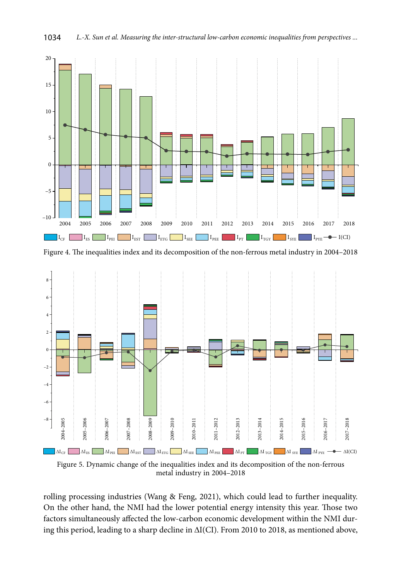

Figure 4. The inequalities index and its decomposition of the non-ferrous metal industry in 2004–2018



Figure 5. Dynamic change of the inequalities index and its decomposition of the non-ferrous metal industry in 2004–2018

rolling processing industries (Wang & Feng, 2021), which could lead to further inequality. On the other hand, the NMI had the lower potential energy intensity this year. Those two factors simultaneously affected the low-carbon economic development within the NMI during this period, leading to a sharp decline in ΔI(CI). From 2010 to 2018, as mentioned above,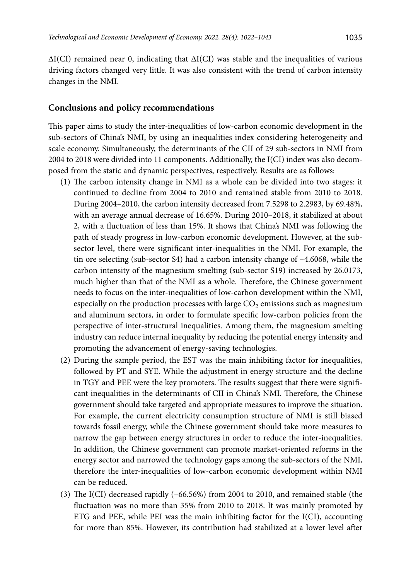$\Delta I(CI)$  remained near 0, indicating that  $\Delta I(CI)$  was stable and the inequalities of various driving factors changed very little. It was also consistent with the trend of carbon intensity changes in the NMI.

### **Conclusions and policy recommendations**

This paper aims to study the inter-inequalities of low-carbon economic development in the sub-sectors of China's NMI, by using an inequalities index considering heterogeneity and scale economy. [Simultaneously](file:///D:/DARBAI/TTED/%2bTEDE_AIP_2022_1/javascript:;), the determinants of the CII of 29 sub-sectors in NMI from 2004 to 2018 were divided into 11 components. Additionally, the I(CI) index was also decomposed from the static and dynamic perspectives, respectively. Results are as follows:

- (1) The carbon intensity change in NMI as a whole can be divided into two stages: it continued to decline from 2004 to 2010 and remained stable from 2010 to 2018. During 2004–2010, the carbon intensity decreased from 7.5298 to 2.2983, by 69.48%, with an average annual decrease of 16.65%. During 2010–2018, it stabilized at about 2, with a fluctuation of less than 15%. It shows that China's NMI was following the path of steady progress in low-carbon economic development. However, at the subsector level, there were significant inter-inequalities in the NMI. For example, the tin ore selecting (sub-sector S4) had a carbon intensity change of –4.6068, while the carbon intensity of the magnesium smelting (sub-sector S19) increased by 26.0173, much higher than that of the NMI as a whole. Therefore, the Chinese government needs to focus on the inter-inequalities of low-carbon development within the NMI, especially on the production processes with large  $CO<sub>2</sub>$  emissions such as magnesium and aluminum sectors, in order to formulate specific low-carbon policies from the perspective of inter-structural inequalities. Among them, the magnesium smelting industry can reduce internal inequality by reducing the potential energy intensity and promoting the advancement of energy-saving technologies.
- (2) During the sample period, the EST was the main inhibiting factor for inequalities, followed by PT and SYE. While the adjustment in energy structure and the decline in TGY and PEE were the key promoters. The results suggest that there were significant inequalities in the determinants of CII in China's NMI. Therefore, the Chinese government should take targeted and appropriate measures to improve the situation. For example, the current electricity consumption structure of NMI is still biased towards fossil energy, while the Chinese government should take more measures to narrow the gap between energy structures in order to reduce the inter-inequalities. In addition, the Chinese government can promote market-oriented reforms in the energy sector and narrowed the technology gaps among the sub-sectors of the NMI, therefore the inter-inequalities of low-carbon economic development within NMI can be reduced.
- (3) The I(CI) decreased rapidly (–66.56%) from 2004 to 2010, and remained stable (the fluctuation was no more than 35% from 2010 to 2018. It was mainly promoted by ETG and PEE, while PEI was the main inhibiting factor for the  $I(CI)$ , accounting for more than 85%. However, its contribution had stabilized at a lower level after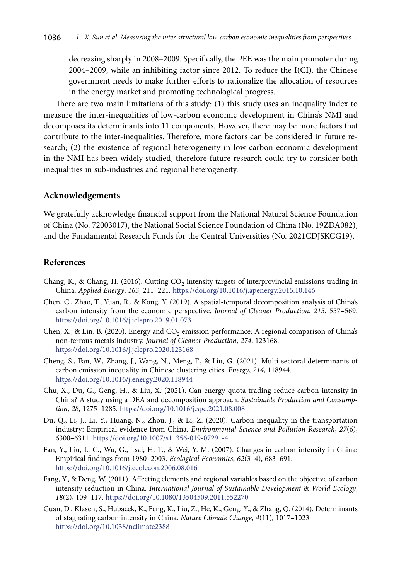decreasing sharply in 2008–2009. Specifically, the PEE was the main promoter during 2004–2009, while an inhibiting factor since 2012. To reduce the I(CI), the Chinese government needs to make further efforts to rationalize the allocation of resources in the energy market and promoting technological progress.

There are two main limitations of this study: (1) this study uses an inequality index to measure the inter-inequalities of low-carbon economic development in China's NMI and decomposes its determinants into 11 components. However, there may be more factors that contribute to the inter-inequalities. Therefore, more factors can be considered in future research; (2) the existence of regional heterogeneity in low-carbon economic development in the NMI has been widely studied, therefore future research could try to consider both inequalities in sub-industries and regional heterogeneity.

#### **Acknowledgements**

We gratefully acknowledge financial support from the National Natural Science Foundation of China (No. 72003017), the National Social Science Foundation of China (No. 19ZDA082), and the Fundamental Research Funds for the Central Universities (No. 2021CDJSKCG19).

### **References**

- Chang, K., & Chang, H. (2016). Cutting  $CO<sub>2</sub>$  intensity targets of interprovincial emissions trading in China. *Applied Energy*, *163*, 211–221. <https://doi.org/10.1016/j.apenergy.2015.10.146>
- Chen, C., Zhao, T., Yuan, R., & Kong, Y. (2019). A spatial-temporal decomposition analysis of China's carbon intensity from the economic perspective. *Journal of Cleaner Production*, *215*, 557–569. <https://doi.org/10.1016/j.jclepro.2019.01.073>
- Chen, X., & Lin, B. (2020). Energy and CO<sub>2</sub> emission performance: A regional comparison of China's non-ferrous metals industry. *Journal of Cleaner Production*, *274*, 123168. <https://doi.org/10.1016/j.jclepro.2020.123168>
- Cheng, S., Fan, W., Zhang, J., Wang, N., Meng, F., & Liu, G. (2021). Multi-sectoral determinants of carbon emission inequality in Chinese clustering cities. *Energy*, *214*, 118944. <https://doi.org/10.1016/j.energy.2020.118944>
- Chu, X., Du, G., Geng, H., & Liu, X. (2021). Can energy quota trading reduce carbon intensity in China? A study using a DEA and decomposition approach. *Sustainable Production and Consumption*, *28*, 1275–1285. <https://doi.org/10.1016/j.spc.2021.08.008>
- Du, Q., Li, J., Li, Y., Huang, N., Zhou, J., & Li, Z. (2020). Carbon inequality in the transportation industry: Empirical evidence from China. *Environmental Science and Pollution Research*, *27*(6), 6300–6311. <https://doi.org/10.1007/s11356-019-07291-4>
- Fan, Y., Liu, L. C., Wu, G., Tsai, H. T., & Wei, Y. M. (2007). Changes in carbon intensity in China: Empirical findings from 1980–2003. *Ecological Economics*, *62*(3–4), 683–691. <https://doi.org/10.1016/j.ecolecon.2006.08.016>
- Fang, Y., & Deng, W. (2011). Affecting elements and regional variables based on the objective of carbon intensity reduction in China. *International Journal of Sustainable Development* & *World Ecology*, *18*(2), 109–117. <https://doi.org/10.1080/13504509.2011.552270>
- Guan, D., Klasen, S., Hubacek, K., Feng, K., Liu, Z., He, K., Geng, Y., & Zhang, Q. (2014). Determinants of stagnating carbon intensity in China. *Nature Climate Change*, *4*(11), 1017–1023. <https://doi.org/10.1038/nclimate2388>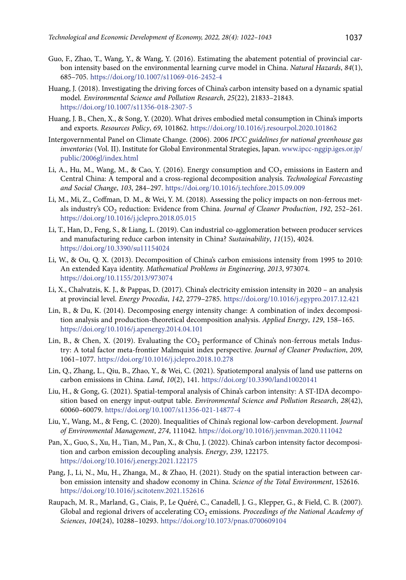- Guo, F., Zhao, T., Wang, Y., & Wang, Y. (2016). Estimating the abatement potential of provincial carbon intensity based on the environmental learning curve model in China. *Natural Hazards*, *84*(1), 685–705. <https://doi.org/10.1007/s11069-016-2452-4>
- Huang, J. (2018). Investigating the driving forces of China's carbon intensity based on a dynamic spatial model. *Environmental Science and Pollution Research*, *25*(22), 21833–21843. <https://doi.org/10.1007/s11356-018-2307-5>
- Huang, J. B., Chen, X., & Song, Y. (2020). What drives embodied metal consumption in China's imports and exports. *Resources Policy*, *69*, 101862.<https://doi.org/10.1016/j.resourpol.2020.101862>
- Intergovernmental Panel on Climate Change. (2006). 2006 *IPCC guidelines for national greenhouse gas inventories* (Vol. II). Institute for Global Environmental Strategies, Japan. [www.ipcc-nggip.iges.or.jp/](file:///D:/DARBAI/TTED/%2bTEDE_AIP_2022_1/www.ipcc-nggip.iges.or.jp/public/2006gl/index.html) [public/2006gl/index.html](file:///D:/DARBAI/TTED/%2bTEDE_AIP_2022_1/www.ipcc-nggip.iges.or.jp/public/2006gl/index.html)
- Li, A., Hu, M., Wang, M., & Cao, Y. (2016). Energy consumption and  $CO<sub>2</sub>$  emissions in Eastern and Central China: A temporal and a cross-regional decomposition analysis. *Technological Forecasting and Social Change*, *103*, 284–297. <https://doi.org/10.1016/j.techfore.2015.09.009>
- Li, M., Mi, Z., Coffman, D. M., & Wei, Y. M. (2018). Assessing the policy impacts on non-ferrous metals industry's CO<sub>2</sub> reduction: Evidence from China. *Journal of Cleaner Production*, 192, 252-261. <https://doi.org/10.1016/j.jclepro.2018.05.015>
- Li, T., Han, D., Feng, S., & Liang, L. (2019). Can industrial co-agglomeration between producer services and manufacturing reduce carbon intensity in China? *Sustainability*, *11*(15), 4024. <https://doi.org/10.3390/su11154024>
- Li, W., & Ou, Q. X. (2013). Decomposition of China's carbon emissions intensity from 1995 to 2010: An extended Kaya identity. *Mathematical Problems in Engineering*, *2013*, 973074. <https://doi.org/10.1155/2013/973074>
- Li, X., Chalvatzis, K. J., & Pappas, D. (2017). China's electricity emission intensity in 2020 an analysis at provincial level. *Energy Procedia*, *142*, 2779–2785. <https://doi.org/10.1016/j.egypro.2017.12.421>
- Lin, B., & Du, K. (2014). Decomposing energy intensity change: A combination of index decomposition analysis and production-theoretical decomposition analysis. *Applied Energy*, *129*, 158–165. <https://doi.org/10.1016/j.apenergy.2014.04.101>
- Lin, B., & Chen, X. (2019). Evaluating the  $CO<sub>2</sub>$  performance of China's non-ferrous metals Industry: A total factor meta-frontier Malmquist index perspective. *Journal of Cleaner Production*, *209*, 1061–1077. <https://doi.org/10.1016/j.jclepro.2018.10.278>
- Lin, Q., Zhang, L., Qiu, B., Zhao, Y., & Wei, C. (2021). Spatiotemporal analysis of land use patterns on carbon emissions in China. *Land*, *10*(2), 141.<https://doi.org/10.3390/land10020141>
- Liu, H., & Gong, G. (2021). Spatial-temporal analysis of China's carbon intensity: A ST-IDA decomposition based on energy input-output table. *Environmental Science and Pollution Research*, *28*(42), 60060–60079. <https://doi.org/10.1007/s11356-021-14877-4>
- Liu, Y., Wang, M., & Feng, C. (2020). Inequalities of China's regional low-carbon development. *Journal of Environmental Management*, *274*, 111042. <https://doi.org/10.1016/j.jenvman.2020.111042>
- Pan, X., Guo, S., Xu, H., Tian, M., Pan, X., & Chu, J. (2022). China's carbon intensity factor decomposition and carbon emission decoupling analysis. *Energy*, *239*, 122175. <https://doi.org/10.1016/j.energy.2021.122175>
- Pang, J., Li, N., Mu, H., Zhanga, M., & Zhao, H. (2021). Study on the spatial interaction between carbon emission intensity and shadow economy in China. *Science of the Total Environment*, 152616. <https://doi.org/10.1016/j.scitotenv.2021.152616>
- Raupach, M. R., Marland, G., Ciais, P., Le Quéré, C., Canadell, J. G., Klepper, G., & Field, C. B. (2007). Global and regional drivers of accelerating CO<sub>2</sub> emissions. *Proceedings of the National Academy of Sciences*, *104*(24), 10288–10293. <https://doi.org/10.1073/pnas.0700609104>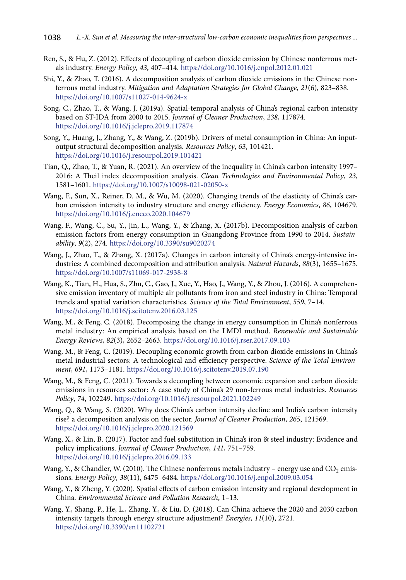- Ren, S., & Hu, Z. (2012). Effects of decoupling of carbon dioxide emission by Chinese nonferrous metals industry. *Energy Policy*, *43*, 407–414. <https://doi.org/10.1016/j.enpol.2012.01.021>
- Shi, Y., & Zhao, T. (2016). A decomposition analysis of carbon dioxide emissions in the Chinese nonferrous metal industry. *Mitigation and Adaptation Strategies for Global Change*, *21*(6), 823–838. <https://doi.org/10.1007/s11027-014-9624-x>
- Song, C., Zhao, T., & Wang, J. (2019a). Spatial-temporal analysis of China's regional carbon intensity based on ST-IDA from 2000 to 2015. *Journal of Cleaner Production*, *238*, 117874. <https://doi.org/10.1016/j.jclepro.2019.117874>
- Song, Y., Huang, J., Zhang, Y., & Wang, Z. (2019b). Drivers of metal consumption in China: An inputoutput structural decomposition analysis. *Resources Policy*, *63*, 101421. <https://doi.org/10.1016/j.resourpol.2019.101421>
- Tian, Q., Zhao, T., & Yuan, R. (2021). An overview of the inequality in China's carbon intensity 1997– 2016: A Theil index decomposition analysis. *Clean Technologies and Environmental Policy*, *23*, 1581–1601. <https://doi.org/10.1007/s10098-021-02050-x>
- Wang, F., Sun, X., Reiner, D. M., & Wu, M. (2020). Changing trends of the elasticity of China's carbon emission intensity to industry structure and energy efficiency. *Energy Economics*, *86*, 104679. <https://doi.org/10.1016/j.eneco.2020.104679>
- Wang, F., Wang, C., Su, Y., Jin, L., Wang, Y., & Zhang, X. (2017b). Decomposition analysis of carbon emission factors from energy consumption in Guangdong Province from 1990 to 2014. *Sustainability*, *9*(2), 274. <https://doi.org/10.3390/su9020274>
- Wang, J., Zhao, T., & Zhang, X. (2017a). Changes in carbon intensity of China's energy-intensive industries: A combined decomposition and attribution analysis. *Natural Hazards*, *88*(3), 1655–1675. <https://doi.org/10.1007/s11069-017-2938-8>
- Wang, K., Tian, H., Hua, S., Zhu, C., Gao, J., Xue, Y., Hao, J., Wang, Y., & Zhou, J. (2016). A comprehensive emission inventory of multiple air pollutants from iron and steel industry in China: Temporal trends and spatial variation characteristics. *Science of the Total Environment*, *559*, 7–14. <https://doi.org/10.1016/j.scitotenv.2016.03.125>
- Wang, M., & Feng, C. (2018). Decomposing the change in energy consumption in China's nonferrous metal industry: An empirical analysis based on the LMDI method. *Renewable and Sustainable Energy Reviews*, *82*(3), 2652–2663. <https://doi.org/10.1016/j.rser.2017.09.103>
- Wang, M., & Feng, C. (2019). Decoupling economic growth from carbon dioxide emissions in China's metal industrial sectors: A technological and efficiency perspective. *Science of the Total Environment*, *691*, 1173–1181. <https://doi.org/10.1016/j.scitotenv.2019.07.190>
- Wang, M., & Feng, C. (2021). Towards a decoupling between economic expansion and carbon dioxide emissions in resources sector: A case study of China's 29 non-ferrous metal industries. *Resources Policy*, *74*, 102249. <https://doi.org/10.1016/j.resourpol.2021.102249>
- Wang, Q., & Wang, S. (2020). Why does China's carbon intensity decline and India's carbon intensity rise? a decomposition analysis on the sector. *Journal of Cleaner Production*, *265*, 121569. https://doi.org/10.1016/j.jclepro.2020.121569
- Wang, X., & Lin, B. (2017). Factor and fuel substitution in China's iron & steel industry: Evidence and policy implications. *Journal of Cleaner Production*, *141*, 751–759. <https://doi.org/10.1016/j.jclepro.2016.09.133>
- Wang, Y., & Chandler, W. (2010). The Chinese nonferrous metals industry energy use and  $CO<sub>2</sub>$  emissions. *Energy Policy*, *38*(11), 6475–6484. <https://doi.org/10.1016/j.enpol.2009.03.054>
- Wang, Y., & Zheng, Y. (2020). Spatial effects of carbon emission intensity and regional development in China. *Environmental Science and Pollution Research*, 1–13.
- Wang, Y., Shang, P., He, L., Zhang, Y., & Liu, D. (2018). Can China achieve the 2020 and 2030 carbon intensity targets through energy structure adjustment? *Energies*, *11*(10), 2721. <https://doi.org/10.3390/en11102721>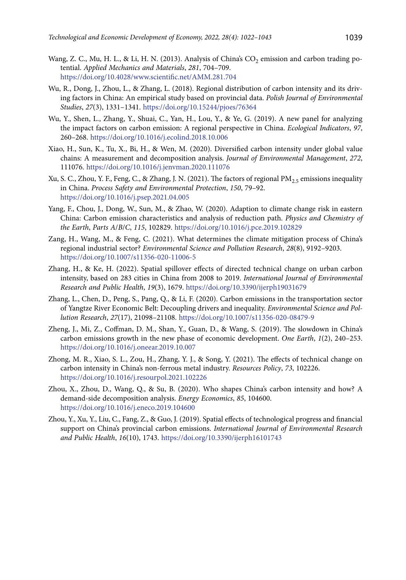- Wang, Z. C., Mu, H. L., & Li, H. N. (2013). Analysis of China's CO<sub>2</sub> emission and carbon trading potential. *Applied Mechanics and Materials*, *281*, 704–709. <https://doi.org/10.4028/www.scientific.net/AMM.281.704>
- Wu, R., Dong, J., Zhou, L., & Zhang, L. (2018). Regional distribution of carbon intensity and its driving factors in China: An empirical study based on provincial data. *Polish Journal of Environmental Studies*, *27*(3), 1331–1341. <https://doi.org/10.15244/pjoes/76364>
- Wu, Y., Shen, L., Zhang, Y., Shuai, C., Yan, H., Lou, Y., & Ye, G. (2019). A new panel for analyzing the impact factors on carbon emission: A regional perspective in China. *Ecological Indicators*, *97*, 260–268. <https://doi.org/10.1016/j.ecolind.2018.10.006>
- Xiao, H., Sun, K., Tu, X., Bi, H., & Wen, M. (2020). Diversified carbon intensity under global value chains: A measurement and decomposition analysis. *Journal of Environmental Management*, *272*, 111076. <https://doi.org/10.1016/j.jenvman.2020.111076>
- Xu, S. C., Zhou, Y. F., Feng, C., & Zhang, J. N. (2021). The factors of regional PM<sub>2</sub>, emissions inequality in China. *Process Safety and Environmental Protection*, *150*, 79–92. <https://doi.org/10.1016/j.psep.2021.04.005>
- Yang, F., Chou, J., Dong, W., Sun, M., & Zhao, W. (2020). Adaption to climate change risk in eastern China: Carbon emission characteristics and analysis of reduction path. *Physics and Chemistry of the Earth*, *Parts A*/*B*/*C*, *115*, 102829. <https://doi.org/10.1016/j.pce.2019.102829>
- Zang, H., Wang, M., & Feng, C. (2021). What determines the climate mitigation process of China's regional industrial sector? *Environmental Science and Pollution Research*, *28*(8), 9192–9203. <https://doi.org/10.1007/s11356-020-11006-5>
- Zhang, H., & Ke, H. (2022). Spatial spillover effects of directed technical change on urban carbon intensity, based on 283 cities in China from 2008 to 2019. *International Journal of Environmental Research and Public Health*, *19*(3), 1679. <https://doi.org/10.3390/ijerph19031679>
- Zhang, L., Chen, D., Peng, S., Pang, Q., & Li, F. (2020). Carbon emissions in the transportation sector of Yangtze River Economic Belt: Decoupling drivers and inequality. *Environmental Science and Pollution Research*, *27*(17), 21098–21108. <https://doi.org/10.1007/s11356-020-08479-9>
- Zheng, J., Mi, Z., Coffman, D. M., Shan, Y., Guan, D., & Wang, S. (2019). The slowdown in China's carbon emissions growth in the new phase of economic development. *One Earth*, *1*(2), 240–253. <https://doi.org/10.1016/j.oneear.2019.10.007>
- Zhong, M. R., Xiao, S. L., Zou, H., Zhang, Y. J., & Song, Y. (2021). The effects of technical change on carbon intensity in China's non-ferrous metal industry. *Resources Policy*, *73*, 102226. <https://doi.org/10.1016/j.resourpol.2021.102226>
- Zhou, X., Zhou, D., Wang, Q., & Su, B. (2020). Who shapes China's carbon intensity and how? A demand-side decomposition analysis. *Energy Economics*, *85*, 104600. <https://doi.org/10.1016/j.eneco.2019.104600>
- Zhou, Y., Xu, Y., Liu, C., Fang, Z., & Guo, J. (2019). Spatial effects of technological progress and financial support on China's provincial carbon emissions. *International Journal of Environmental Research and Public Health*, *16*(10), 1743. <https://doi.org/10.3390/ijerph16101743>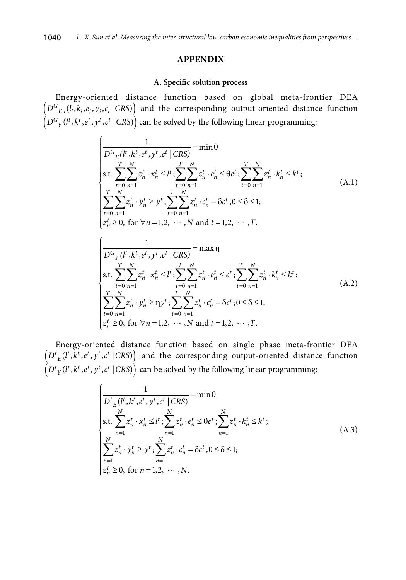### **APPENDIX**

#### **A. Specific solution process**

Energy-oriented distance function based on global meta-frontier DEA  $(D^{G}_{E,i}(l_i, k_i, e_i, y_i, c_i | CAS))$  and the corresponding output-oriented distance function  $(D^{G}_{Y}(l^{t}, k^{t}, e^{t}, y^{t}, c^{t} | CRS))$  can be solved by the following linear programming:

$$
\begin{cases}\n\frac{1}{D^G \mathcal{E}(l^t, k^t, e^t, y^t, c^t | \text{CRS})} = \min \theta \\
\text{s.t.} \sum_{t=0}^T \sum_{n=1}^N z_n^t \cdot x_n^t \le l^t; \sum_{t=0}^T \sum_{n=1}^N z_n^t \cdot e_n^t \le \theta e^t; \sum_{t=0}^T \sum_{n=1}^N z_n^t \cdot k_n^t \le k^t; \\
\sum_{t=0}^T \sum_{n=1}^N z_n^t \cdot y_n^t \ge y^t; \sum_{t=0}^T \sum_{n=1}^N z_n^t \cdot c_n^t = \delta c^t; 0 \le \delta \le 1; \\
z_n^t \ge 0, \text{ for } \forall n = 1, 2, \cdots, N \text{ and } t = 1, 2, \cdots, T.\n\end{cases} (A.1)
$$

$$
\begin{cases}\n\frac{1}{D^{G}_{Y}(l^{t}, k^{t}, e^{t}, y^{t}, c^{t} | CRS)} = \max \eta \\
\text{s.t.} \sum_{t=0}^{T} \sum_{n=1}^{N} z_{n}^{t} \cdot x_{n}^{t} \leq l^{t} ; \sum_{t=0}^{T} \sum_{n=1}^{N} z_{n}^{t} \cdot e_{n}^{t} \leq e^{t} ; \sum_{t=0}^{T} \sum_{n=1}^{N} z_{n}^{t} \cdot k_{n}^{t} \leq k^{t} ; \\
\sum_{t=0}^{T} \sum_{n=1}^{N} z_{n}^{t} \cdot y_{n}^{t} \geq \eta y^{t} ; \sum_{t=0}^{T} \sum_{n=1}^{N} z_{n}^{t} \cdot c_{n}^{t} = \delta c^{t} ; 0 \leq \delta \leq 1; \\
z_{n}^{t} \geq 0, \text{ for } \forall n = 1, 2, \cdots, N \text{ and } t = 1, 2, \cdots, T.\n\end{cases} (A.2)
$$

Energy-oriented distance function based on single phase meta-frontier DEA  $(D<sup>t</sup><sub>E</sub>(l<sup>t</sup>, k<sup>t</sup>, e<sup>t</sup>, y<sup>t</sup>, c<sup>t</sup> | CAS)$  and the corresponding output-oriented distance function  $(D<sup>t</sup><sub>Y</sub>(l<sup>t</sup>, k<sup>t</sup>, e<sup>t</sup>, y<sup>t</sup>, c<sup>t</sup> |CRS)$  can be solved by the following linear programming:

$$
\begin{cases}\n\frac{1}{D^t_{E}(l^t, k^t, e^t, y^t, c^t | \text{CRS})} = \min \theta \\
\sum_{n=1}^N z_n^t \cdot x_n^t \le l^t; \sum_{n=1}^N z_n^t \cdot e_n^t \le \theta e^t; \sum_{n=1}^N z_n^t \cdot k_n^t \le k^t; \\
\sum_{n=1}^N z_n^t \cdot y_n^t \ge y^t; \sum_{n=1}^N z_n^t \cdot c_n^t = \delta c^t; 0 \le \delta \le 1; \\
z_n^t \ge 0, \text{ for } n = 1, 2, \dots, N.\n\end{cases} (A.3)
$$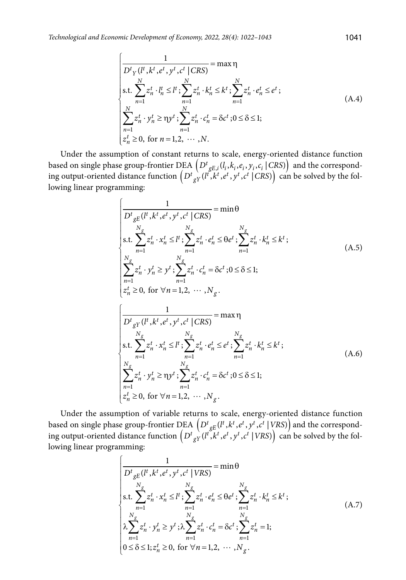$$
\begin{cases}\n\frac{1}{D^{t} \gamma(l^{t}, k^{t}, e^{t}, y^{t}, c^{t} | CRS)} = \max \eta \\
\text{s.t.} \sum_{n=1}^{N} z_{n}^{t} \cdot l_{n}^{t} \le l^{t}; \sum_{n=1}^{N} z_{n}^{t} \cdot k_{n}^{t} \le k^{t}; \sum_{n=1}^{N} z_{n}^{t} \cdot e_{n}^{t} \le e^{t}; \\
\sum_{n=1}^{N} z_{n}^{t} \cdot y_{n}^{t} \ge \eta y^{t}; \sum_{n=1}^{N} z_{n}^{t} \cdot c_{n}^{t} = \delta c^{t}; 0 \le \delta \le 1; \\
z_{n}^{t} \ge 0, \text{ for } n = 1, 2, \cdots, N.\n\end{cases} (A.4)
$$

Under the assumption of constant returns to scale, energy-oriented distance function based on single phase group-frontier DEA  $\left(D^t_{gE,i}(l_i, k_i, e_i, y_i, c_i \mid C^{RS}_{\cdot}\right)$  and the corresponding output-oriented distance function  $\left( D^t \frac{1}{gY}(l^t, k^t, e^t, y^t, c^t \mid CRS) \right)$  can be solved by the following linear programming:

$$
\frac{1}{D^{t}_{gE}(l^{t}, k^{t}, e^{t}, y^{t}, c^{t} | CRS)} = \min \theta
$$
\n
$$
\begin{aligned}\n\text{s.t.} &\sum_{n=1}^{N_{g}} z_{n}^{t} \cdot x_{n}^{t} \le l^{t}; \sum_{n=1}^{N_{g}} z_{n}^{t} \cdot e_{n}^{t} \le \theta e^{t}; \sum_{n=1}^{N_{g}} z_{n}^{t} \cdot k_{n}^{t} \le k^{t}; \\
\sum_{n=1}^{N_{g}} z_{n}^{t} \cdot y_{n}^{t} \ge y^{t}; \sum_{n=1}^{N_{g}} z_{n}^{t} \cdot c_{n}^{t} = \delta c^{t}; 0 \le \delta \le 1; \\
z_{n}^{t} \ge 0, \text{ for } \forall n = 1, 2, \cdots, N_{g}.\n\end{aligned}
$$
\n
$$
\begin{aligned}\n&\left| \frac{1}{D^{t}_{gY}(l^{t}, k^{t}, e^{t}, y^{t}, c^{t} | CRS)} = \max \eta \\
\sum_{n=1}^{N_{g}} z_{n}^{t} \cdot x_{n}^{t} \le l^{t}; \sum_{n=1}^{N_{g}} z_{n}^{t} \cdot e_{n}^{t} \le e^{t}; \sum_{n=1}^{N_{g}} z_{n}^{t} \cdot k_{n}^{t} \le k^{t}; \\
\sum_{n=1}^{N_{g}} z_{n}^{t} \cdot y_{n}^{t} \ge \eta y^{t}; \sum_{n=1}^{N_{g}} z_{n}^{t} \cdot c_{n}^{t} = \delta c^{t}; 0 \le \delta \le 1; \\
z_{n}^{t} \ge 0, \text{ for } \forall n = 1, 2, \cdots, N_{g}.\n\end{aligned}\n\right.
$$
\n(A.6)

Under the assumption of variable returns to scale, energy-oriented distance function based on single phase group-frontier DEA  $(D^t_{gE}(l^t, k^t, e^t, y^t, c^t | VRS))$  and the corresponding output-oriented distance function  $(D^t_{gY}(l^t, k^t, e^t, y^t, c^t | VRS))$  can be solved by the following linear programming:

$$
\begin{cases}\n\frac{1}{D_{gE}^{t}(l^{t}, k^{t}, e^{t}, y^{t}, c^{t} | VRS)} = \min \theta \\
\text{s.t.} \sum_{n=1}^{N_{g}} z_{n}^{t} \cdot x_{n}^{t} \leq l^{t}; \sum_{n=1}^{N_{g}} z_{n}^{t} \cdot e_{n}^{t} \leq \theta e^{t}; \sum_{n=1}^{N_{g}} z_{n}^{t} \cdot k_{n}^{t} \leq k^{t}; \\
\lambda \sum_{n=1}^{N_{g}} z_{n}^{t} \cdot y_{n}^{t} \geq y^{t}; \lambda \sum_{n=1}^{N_{g}} z_{n}^{t} \cdot c_{n}^{t} = \delta c^{t}; \sum_{n=1}^{N_{g}} z_{n}^{t} = 1; \\
0 \leq \delta \leq 1; z_{n}^{t} \geq 0, \text{ for } \forall n = 1, 2, \cdots, N_{g}.\n\end{cases} (A.7)
$$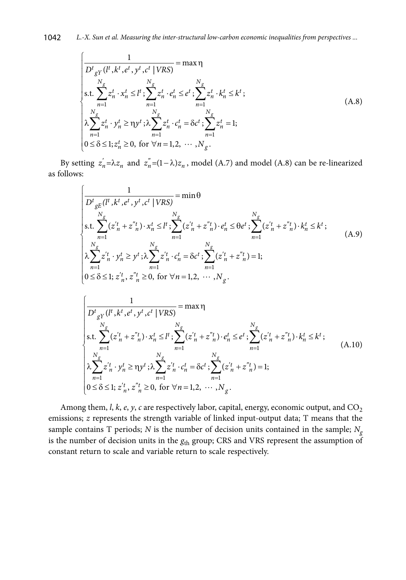$$
\begin{cases}\n\frac{1}{D^{t}_{gY}(l^{t}, k^{t}, e^{t}, y^{t}, c^{t} | VRS)} = \max \eta \\
\text{s.t.} \sum_{n=1}^{N_{g}} z_{n}^{t} \cdot x_{n}^{t} \le l^{t} ; \sum_{n=1}^{N_{g}} z_{n}^{t} \cdot e_{n}^{t} \le e^{t} ; \sum_{n=1}^{N_{g}} z_{n}^{t} \cdot k_{n}^{t} \le k^{t}; \\
\lambda \sum_{n=1}^{N_{g}} z_{n}^{t} \cdot y_{n}^{t} \ge \eta y^{t} ; \lambda \sum_{n=1}^{N_{g}} z_{n}^{t} \cdot c_{n}^{t} = \delta c^{t} ; \sum_{n=1}^{N_{g}} z_{n}^{t} = 1; \\
0 \le \delta \le 1; z_{n}^{t} \ge 0, \text{ for } \forall n = 1, 2, \cdots, N_{g}.\n\end{cases} (A.8)
$$

By setting  $z_n = \lambda z_n$  and  $z_n = (1 - \lambda)z_n$ , model (A.7) and model (A.8) can be re-linearized as follows:

$$
\begin{cases}\n\frac{1}{D^{t}_{gE}(l^{t}, k^{t}, e^{t}, y^{t}, c^{t} | VRS)} = \min \theta \\
\text{s.t.} \sum_{n=1}^{N_{g}} (z_{n}^{'t} + z_{n}^{''t}) \cdot x_{n}^{t} \leq l^{t} ; \sum_{n=1}^{N_{g}} (z_{n}^{'t} + z_{n}^{''t}) \cdot e_{n}^{t} \leq \theta e^{t} ; \sum_{n=1}^{N_{g}} (z_{n}^{'t} + z_{n}^{''t}) \cdot k_{n}^{t} \leq k^{t}; \\
\lambda \sum_{n=1}^{N_{g}} z_{n}^{'t} \cdot y_{n}^{t} \geq y^{t} ; \lambda \sum_{n=1}^{N_{g}} z_{n}^{'t} \cdot c_{n}^{t} = \delta c^{t} ; \sum_{n=1}^{N_{g}} (z_{n}^{'t} + z_{n}^{''t}) = 1; \\
0 \leq \delta \leq 1; z_{n}^{'t}, z_{n}^{''t} \geq 0, \text{ for } \forall n = 1, 2, \cdots, N_{g}.\n\end{cases} (A.9)
$$

$$
\begin{cases}\n\frac{1}{D_{gY}^{t}(l^{t}, k^{t}, e^{t}, y^{t}, c^{t} | VRS)} = \max \eta \\
\text{s.t.} \sum_{n=1}^{N_g} (z_{n}^{'t} + z_{n}^{"t}) \cdot x_{n}^{t} \le l^{t}; \sum_{n=1}^{N_g} (z_{n}^{'t} + z_{n}^{"t}) \cdot e_{n}^{t} \le e^{t}; \sum_{n=1}^{N_g} (z_{n}^{'t} + z_{n}^{"t}) \cdot k_{n}^{t} \le k^{t}; \\
\lambda \sum_{n=1}^{N_g} z_{n}^{'t} \cdot y_{n}^{t} \ge \eta y^{t}; \lambda \sum_{n=1}^{N_g} z_{n}^{'t} \cdot c_{n}^{t} = \delta c^{t}; \sum_{n=1}^{N_g} (z_{n}^{'t} + z_{n}^{"t}) = 1; \\
0 \le \delta \le 1; z_{n}^{'t}, z_{n}^{"t} \ge 0, \text{ for } \forall n = 1, 2, \cdots, N_g.\n\end{cases} (A.10)
$$

Among them, *l*, *k*, *e*, *y*, *c* are respectively labor, capital, energy, economic output, and CO<sub>2</sub> emissions; *z* represents the strength variable of linked input-output data; T means that the sample contains T periods; *N* is the number of decision units contained in the sample;  $N_g$ is the number of decision units in the  $g_{\text{th}}$  group; CRS and VRS represent the assumption of constant return to scale and variable return to scale respectively.